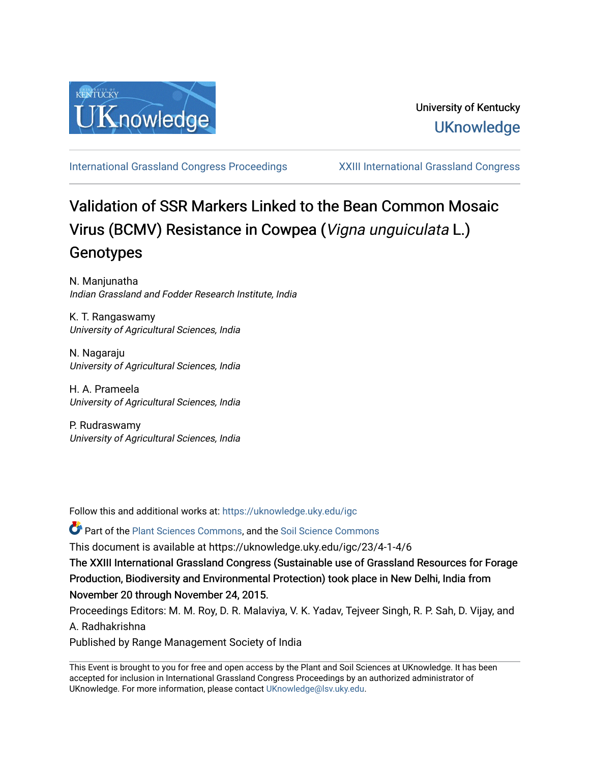

[International Grassland Congress Proceedings](https://uknowledge.uky.edu/igc) [XXIII International Grassland Congress](https://uknowledge.uky.edu/igc/23) 

# Validation of SSR Markers Linked to the Bean Common Mosaic Virus (BCMV) Resistance in Cowpea (Vigna unguiculata L.) Genotypes

N. Manjunatha Indian Grassland and Fodder Research Institute, India

K. T. Rangaswamy University of Agricultural Sciences, India

N. Nagaraju University of Agricultural Sciences, India

H. A. Prameela University of Agricultural Sciences, India

P. Rudraswamy University of Agricultural Sciences, India

Follow this and additional works at: [https://uknowledge.uky.edu/igc](https://uknowledge.uky.edu/igc?utm_source=uknowledge.uky.edu%2Figc%2F23%2F4-1-4%2F6&utm_medium=PDF&utm_campaign=PDFCoverPages) 

**P** Part of the [Plant Sciences Commons](http://network.bepress.com/hgg/discipline/102?utm_source=uknowledge.uky.edu%2Figc%2F23%2F4-1-4%2F6&utm_medium=PDF&utm_campaign=PDFCoverPages), and the Soil Science Commons

This document is available at https://uknowledge.uky.edu/igc/23/4-1-4/6

The XXIII International Grassland Congress (Sustainable use of Grassland Resources for Forage Production, Biodiversity and Environmental Protection) took place in New Delhi, India from November 20 through November 24, 2015.

Proceedings Editors: M. M. Roy, D. R. Malaviya, V. K. Yadav, Tejveer Singh, R. P. Sah, D. Vijay, and A. Radhakrishna

Published by Range Management Society of India

This Event is brought to you for free and open access by the Plant and Soil Sciences at UKnowledge. It has been accepted for inclusion in International Grassland Congress Proceedings by an authorized administrator of UKnowledge. For more information, please contact [UKnowledge@lsv.uky.edu](mailto:UKnowledge@lsv.uky.edu).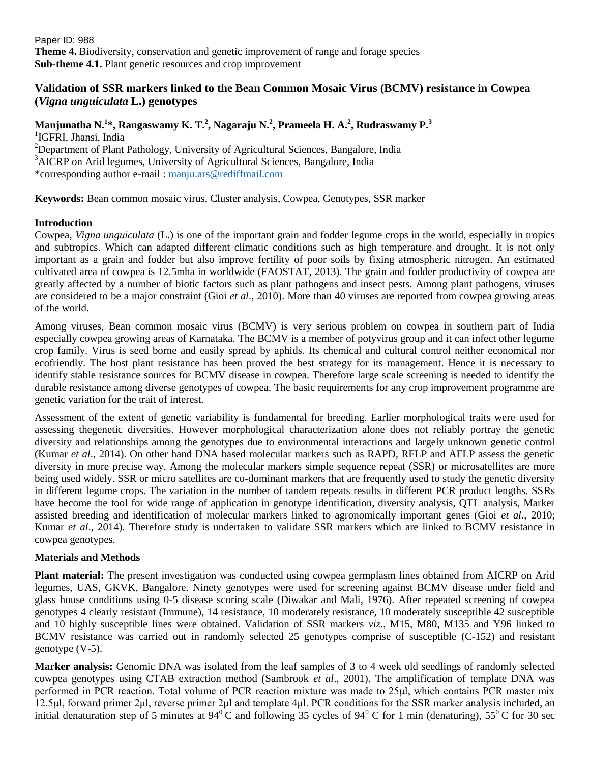Paper ID: 988 **Theme 4.** Biodiversity, conservation and genetic improvement of range and forage species **Sub-theme 4.1.** Plant genetic resources and crop improvement

# **Validation of SSR markers linked to the Bean Common Mosaic Virus (BCMV) resistance in Cowpea (***Vigna unguiculata* **L.) genotypes**

# **Manjunatha N. 1 \*, Rangaswamy K. T. 2 , Nagaraju N. 2 , Prameela H. A. 2 , Rudraswamy P. 3** <sup>1</sup>IGFRI, Jhansi, India <sup>2</sup>Department of Plant Pathology, University of Agricultural Sciences, Bangalore, India

<sup>3</sup>AICRP on Arid legumes, University of Agricultural Sciences, Bangalore, India \*corresponding author e-mail [: manju.ars@rediffmail.com](mailto:manju.ars@rediffmail.com)

**Keywords:** Bean common mosaic virus, Cluster analysis, Cowpea, Genotypes, SSR marker

## **Introduction**

Cowpea, *Vigna unguiculata* (L.) is one of the important grain and fodder legume crops in the world, especially in tropics and subtropics. Which can adapted different climatic conditions such as high temperature and drought. It is not only important as a grain and fodder but also improve fertility of poor soils by fixing atmospheric nitrogen. An estimated cultivated area of cowpea is 12.5mha in worldwide (FAOSTAT, 2013). The grain and fodder productivity of cowpea are greatly affected by a number of biotic factors such as plant pathogens and insect pests. Among plant pathogens, viruses are considered to be a major constraint (Gioi *et al*., 2010). More than 40 viruses are reported from cowpea growing areas of the world.

Among viruses, Bean common mosaic virus (BCMV) is very serious problem on cowpea in southern part of India especially cowpea growing areas of Karnataka. The BCMV is a member of potyvirus group and it can infect other legume crop family. Virus is seed borne and easily spread by aphids. Its chemical and cultural control neither economical nor ecofriendly. The host plant resistance has been proved the best strategy for its management. Hence it is necessary to identify stable resistance sources for BCMV disease in cowpea. Therefore large scale screening is needed to identify the durable resistance among diverse genotypes of cowpea. The basic requirements for any crop improvement programme are genetic variation for the trait of interest.

Assessment of the extent of genetic variability is fundamental for breeding. Earlier morphological traits were used for assessing thegenetic diversities. However morphological characterization alone does not reliably portray the genetic diversity and relationships among the genotypes due to environmental interactions and largely unknown genetic control (Kumar *et al*., 2014). On other hand DNA based molecular markers such as RAPD, RFLP and AFLP assess the genetic diversity in more precise way. Among the molecular markers simple sequence repeat (SSR) or microsatellites are more being used widely. SSR or micro satellites are co-dominant markers that are frequently used to study the genetic diversity in different legume crops. The variation in the number of tandem repeats results in different PCR product lengths. SSRs have become the tool for wide range of application in genotype identification, diversity analysis, QTL analysis, Marker assisted breeding and identification of molecular markers linked to agronomically important genes (Gioi *et al*., 2010; Kumar *et al*., 2014). Therefore study is undertaken to validate SSR markers which are linked to BCMV resistance in cowpea genotypes.

## **Materials and Methods**

**Plant material:** The present investigation was conducted using cowpea germplasm lines obtained from AICRP on Arid legumes, UAS, GKVK, Bangalore. Ninety genotypes were used for screening against BCMV disease under field and glass house conditions using 0-5 disease scoring scale (Diwakar and Mali, 1976). After repeated screening of cowpea genotypes 4 clearly resistant (Immune), 14 resistance, 10 moderately resistance, 10 moderately susceptible 42 susceptible and 10 highly susceptible lines were obtained. Validation of SSR markers *viz*., M15, M80, M135 and Y96 linked to BCMV resistance was carried out in randomly selected 25 genotypes comprise of susceptible (C-152) and resistant genotype (V-5).

**Marker analysis:** Genomic DNA was isolated from the leaf samples of 3 to 4 week old seedlings of randomly selected cowpea genotypes using CTAB extraction method (Sambrook *et al*., 2001). The amplification of template DNA was performed in PCR reaction. Total volume of PCR reaction mixture was made to 25μl, which contains PCR master mix 12.5μl, forward primer 2μl, reverse primer 2μl and template 4μl. PCR conditions for the SSR marker analysis included, an initial denaturation step of 5 minutes at  $94^{\circ}$ C and following 35 cycles of  $94^{\circ}$ C for 1 min (denaturing), 55<sup>°</sup>C for 30 sec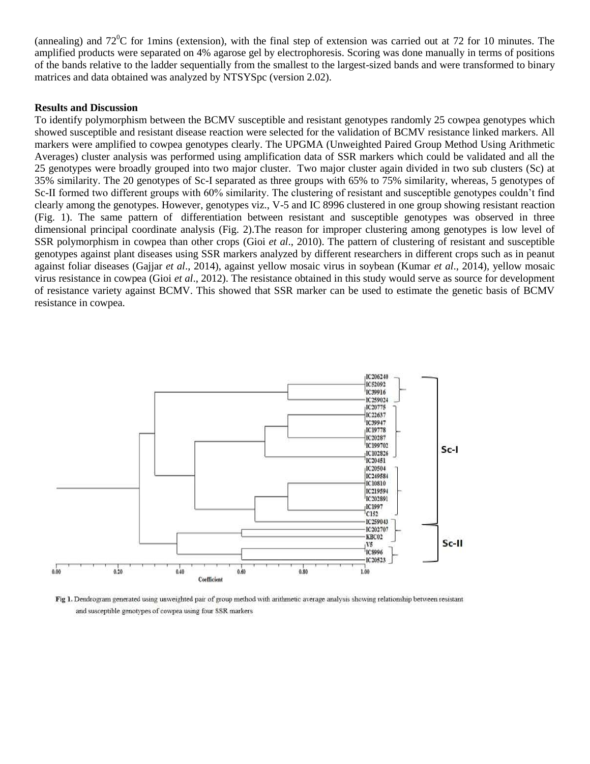(annealing) and  $72^{\circ}$ C for 1mins (extension), with the final step of extension was carried out at 72 for 10 minutes. The amplified products were separated on 4% agarose gel by electrophoresis. Scoring was done manually in terms of positions of the bands relative to the ladder sequentially from the smallest to the largest-sized bands and were transformed to binary matrices and data obtained was analyzed by NTSYSpc (version 2.02).

## **Results and Discussion**

To identify polymorphism between the BCMV susceptible and resistant genotypes randomly 25 cowpea genotypes which showed susceptible and resistant disease reaction were selected for the validation of BCMV resistance linked markers. All markers were amplified to cowpea genotypes clearly. The UPGMA (Unweighted Paired Group Method Using Arithmetic Averages) cluster analysis was performed using amplification data of SSR markers which could be validated and all the 25 genotypes were broadly grouped into two major cluster. Two major cluster again divided in two sub clusters (Sc) at 35% similarity. The 20 genotypes of Sc-I separated as three groups with 65% to 75% similarity, whereas, 5 genotypes of Sc-II formed two different groups with 60% similarity. The clustering of resistant and susceptible genotypes couldn't find clearly among the genotypes. However, genotypes viz., V-5 and IC 8996 clustered in one group showing resistant reaction (Fig. 1). The same pattern of differentiation between resistant and susceptible genotypes was observed in three dimensional principal coordinate analysis (Fig. 2).The reason for improper clustering among genotypes is low level of SSR polymorphism in cowpea than other crops (Gioi *et al*., 2010). The pattern of clustering of resistant and susceptible genotypes against plant diseases using SSR markers analyzed by different researchers in different crops such as in peanut against foliar diseases (Gajjar *et al*., 2014), against yellow mosaic virus in soybean (Kumar *et al*., 2014), yellow mosaic virus resistance in cowpea (Gioi *et al*., 2012). The resistance obtained in this study would serve as source for development of resistance variety against BCMV. This showed that SSR marker can be used to estimate the genetic basis of BCMV resistance in cowpea.



Fig 1. Dendrogram generated using unweighted pair of group method with arithmetic average analysis showing relationship between resistant and susceptible genotypes of cowpea using four SSR markers